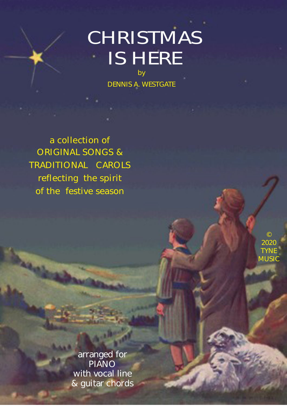# **CHRISTMAS** IS HERE

by DENNIS A. WESTGATE

a collection of ORIGINAL SONGS & TRADITIONAL CAROLS reflecting the spirit of the festive season

> ©  $2020$ TYNE **MUSIC**

**A COLLECTION OF STREET COLLECTION Example 3 & Guitar chords** arranged for PIANO with vocal line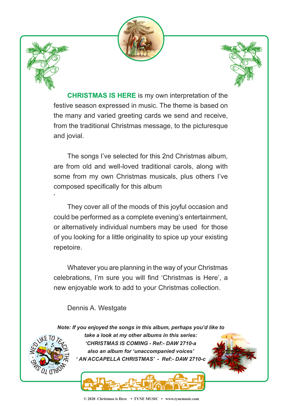



'



**CHRISTMAS IS HERE** is my own interpretation of the festive season expressed in music. The theme is based on the many and varied greeting cards we send and receive, from the traditional Christmas message, to the picturesque and jovial.

The songs I've selected for this 2nd Christmas album, are from old and well-loved traditional carols, along with some from my own Christmas musicals, plus others I've composed specifically for this album

They cover all of the moods of this joyful occasion and could be performed as a complete evening's entertainment, or alternatively individual numbers may be used for those of you looking for a little originality to spice up your existing repetoire.

Whatever you are planning in the way of your Christmas celebrations, I'm sure you will find 'Christmas is Here', a new enjoyable work to add to your Christmas collection.

#### Dennis A. Westgate

*Note: If you enjoyed the songs in this album, perhaps you'd like to*



*take a look at my other albums in this series: 'CHRISTMAS IS COMING - Ref:- DAW 2710-a also an album for 'unaccompanied voices' ' AN ACCAPELLA CHRISTMAS' - Ref:- DAW 2710-c*

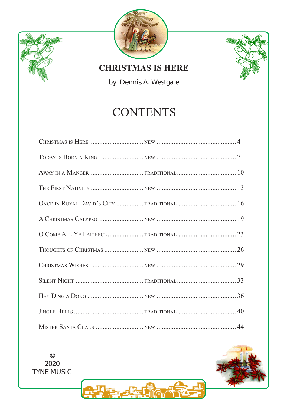





**CHRISTMAS IS HERE** 

by Dennis A. Westgate

#### **CONTENTS**



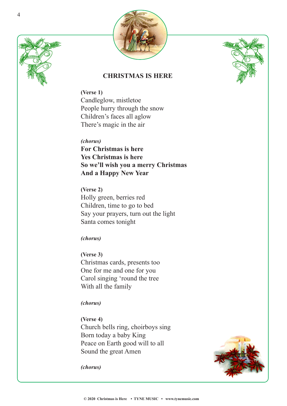





#### **CHRISTMAS IS HERE**

**(Verse 1)** Candleglow, mistletoe People hurry through the snow Children's faces all aglow There's magic in the air

*(chorus)* **For Christmas is here Yes Christmas is here So we'll wish you a merry Christmas And a Happy New Year**

**(Verse 2)** Holly green, berries red Children, time to go to bed Say your prayers, turn out the light Santa comes tonight

*(chorus)*

**(Verse 3)** Christmas cards, presents too One for me and one for you Carol singing 'round the tree With all the family

*(chorus)*

**(Verse 4)** Church bells ring, choirboys sing Born today a baby King Peace on Earth good will to all Sound the great Amen



*(chorus)*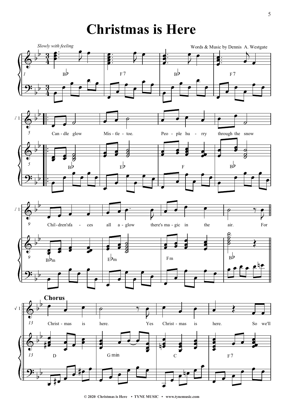#### **Christmas is Here**



**<sup>© 2020</sup> Christmas is Here • TYNE MUSIC • www.tynemusic.com**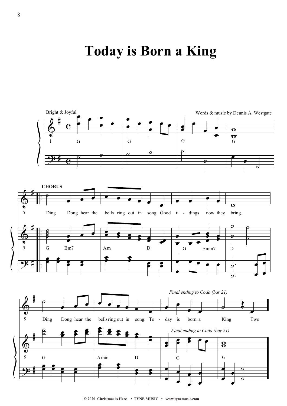#### **7oday is Born a King**

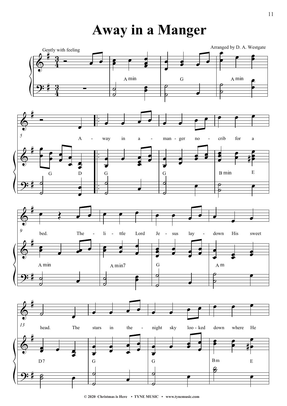**Away in a Manger** 



<sup>© 2020</sup> Christmas is Here • TYNE MUSIC • www.tynemusic.com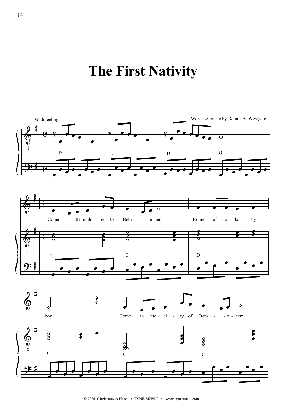### The First Nativity

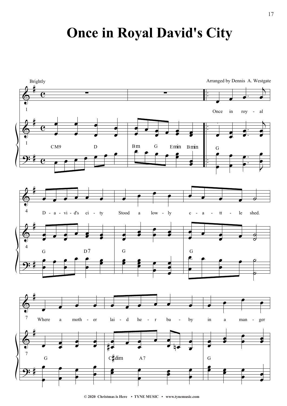#### **Once in Royal David's City**



<sup>© 2020</sup> Christmas is Here • TYNE MUSIC • www.tynemusic.com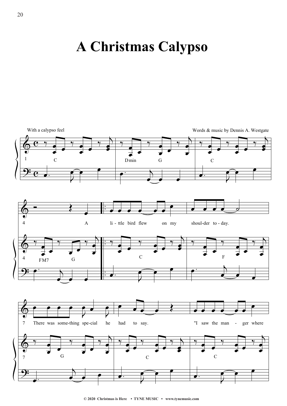#### **A Christmas Calypso**

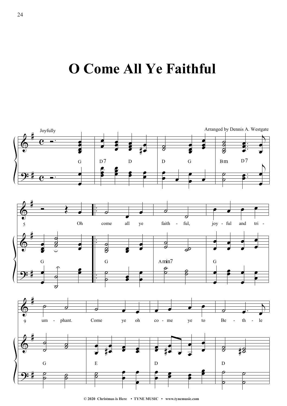**2** Come All Ye Faithful



**<sup>© 2020</sup> Christmas is Here • TYNE MUSIC • www.tynemusic.com**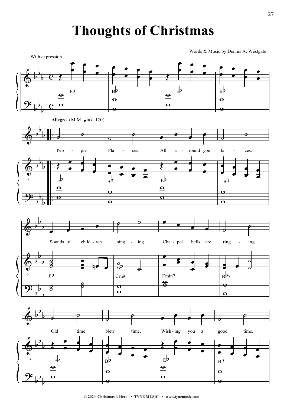#### **Thoughts of Christmas**

Words & Music by Dennis A. Westgate



<sup>© 2020</sup> Christmas is Here • TYNE MUSIC • www.tynemusic.com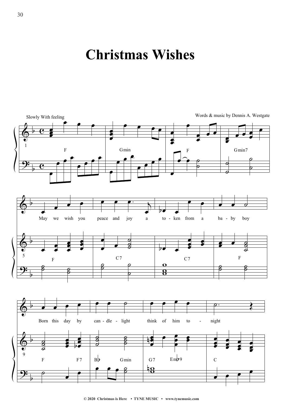#### **Christmas Wishes**



```
© 2020 Christmas is Here • TYNE MUSIC • www.tynemusic.com
```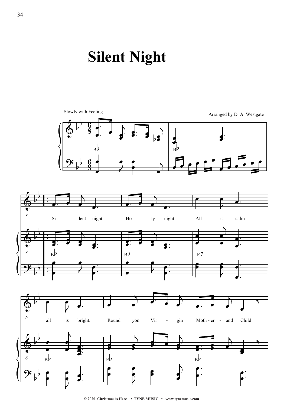## **Silent Night**



```
© 2020 Christmas is Here • TYNE MUSIC • www.tynemusic.com
```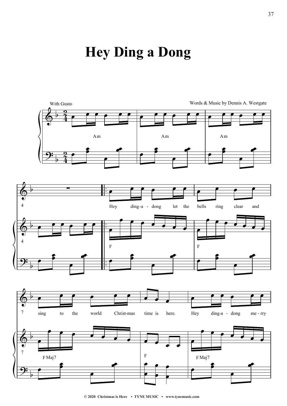### **Hey Ding a Dong**

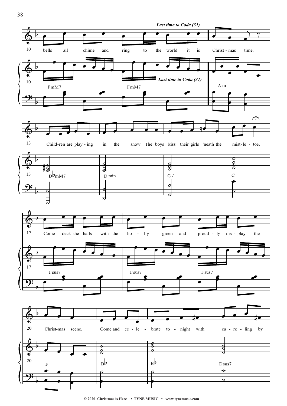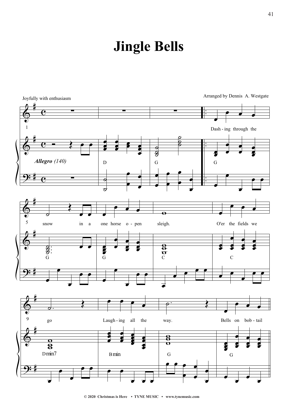### **Jingle Bells**

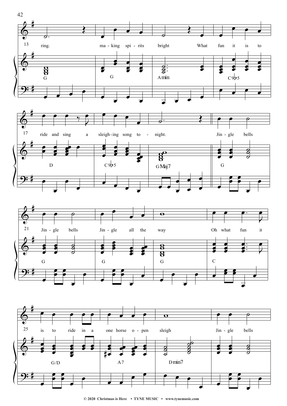

<sup>© 2020</sup> Christmas is Here • TYNE MUSIC • www.tynemusic.com